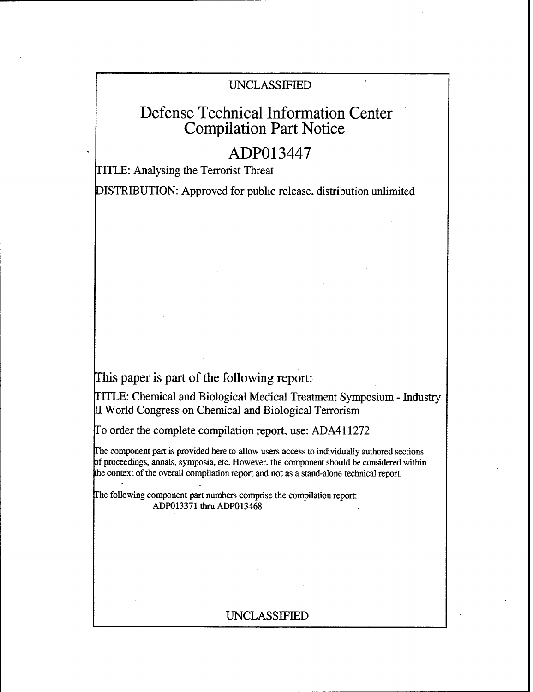# UNCLASSIFIED

# Defense Technical Information Center Compilation Part Notice

# ADPO13447

TITLE: Analysing the Terrorist Threat

DISTRIBUTION: Approved for public release, distribution unlimited

This paper is part of the following report:

TITLE: Chemical and Biological Medical Treatment Symposium - Industry U World Congress on Chemical and Biological Terrorism

To order the complete compilation report, use: ADA411272

The component part is provided here to allow users access to individually authored sections of proceedings, annals, symposia, etc. However, the component should be considered within the context of the overall compilation report and not as a stand-alone technical report.

The following component part numbers comprise the compilation report: ADP013371 thru ADP013468

# UNCLASSIFIED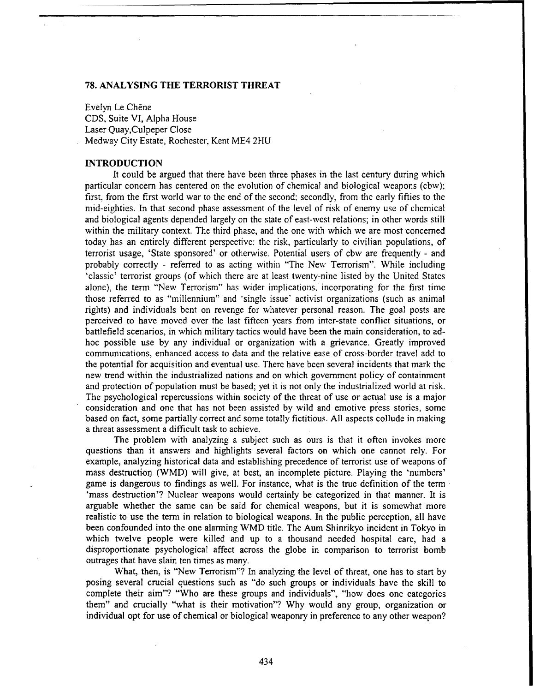# **78. ANALYSING** THE TERRORIST THREAT

Evelyn Le Chêne CDS, Suite VI, Alpha House Laser Quay,Culpeper Close Medway City Estate, Rochester, Kent ME4 2HU

### **INTRODUCTION**

It could be argued that there have been three phases in the last century during which particular concern has centered on the evolution of chemical and biological weapons (cbw); first, from the first world war to the end of the second; secondly, from the early fifties to the mid-eighties. In that second phase assessment of the level of risk of enemy use of chemical and biological agents depended largely on the state of east-west relations; in other words still within the military context. The third phase, and the one with which we are most concerned today has an entirely different perspective: the risk, particularly to civilian populations, of terrorist usage, 'State sponsored' or otherwise. Potential users of cbw are frequently - and probably correctly - referred to as acting within "The New Terrorism". While including 'classic' terrorist groups (of which there are at least twenty-nine listed by the United States alone), the term "New Terrorism" has wider implications, incorporating for the first time those referred to as "millennium" and 'single issue' activist organizations (such as animal rights) and individuals bent on revenge for whatever personal reason. The goal posts are perceived to have moved over the last fifteen years from inter-state conflict situations, or battlefield scenarios, in which military tactics would have been the main consideration, to adhoc possible use by any individual or organization with a grievance. Greatly improved communications, enhanced access to data and the relative ease of cross-border travel add to the potential for acquisition and eventual use. There have been several incidents that mark the new trend within the industrialized nations and on which government policy of containment and protection of population must be based; yet it is not only the industrialized world at risk. The psychological repercussions within society of the threat of use or actual use is a major consideration and one that has not been assisted by wild and emotive press stories, some based on fact, some partially correct and some totally fictitious. All aspects collude in making a threat assessment a difficult task to achieve.

The problem with analyzing a subject such as ours is that it often invokes more questions than it answers and highlights several factors on which one cannot rely. For example, analyzing historical data and establishing precedence of terrorist use of weapons of mass destruction (WMD) will give, at best, an incomplete picture. Playing the 'numbers' game is dangerous to findings as well. For instance, what is the true definition of the term 'mass destruction'? Nuclear weapons would certainly be categorized in that manner. It is arguable whether the same can be said for chemical weapons, but it is somewhat more realistic to use the term in relation to biological weapons. In the public perception, all have been confounded into the one alarming WMD title. The Aum Shinrikyo incident in Tokyo in which twelve people were killed and up to a thousand needed hospital care, had a disproportionate psychological affect across the globe in comparison to terrorist bomb outrages that have slain ten times as many.

What, then, is "New Terrorism"? In analyzing the level of threat, one has to start by posing several crucial questions such as "do such groups or individuals have the skill to complete their aim"? "Who are these groups and individuals", "how does one categories them" and crucially "what is their motivation"? Why would any group, organization or individual opt for use of chemical or biological weaponry in preference to any other weapon?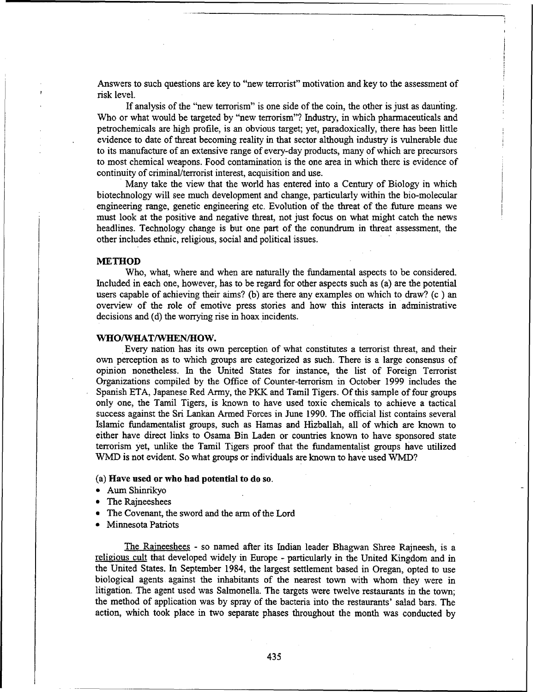Answers to such questions are key to "new terrorist" motivation and key to the assessment of risk level.

If analysis of the "new terrorism" is one side of the coin, the other is just as daunting. Who or what would be targeted by "new terrorism"? Industry, in which pharmaceuticals and petrochemicals are high profile, is an obvious target; yet, paradoxically, there has been little evidence to date of threat becoming reality in that sector although industry is vulnerable due to its manufacture of an extensive range of every-day products, many of which are precursors to most chemical weapons. Food contamination is the one area in which there is evidence of continuity of criminal/terrorist interest, acquisition and use.

Many take the view that the world has entered into a Century of Biology in which biotechnology will see much development and change, particularly within the bio-molecular engineering range, genetic engineering etc. Evolution of the threat of the future means we must look at the positive and negative threat, not just focus on what might catch the news headlines. Technology change is but one part of the conundrum in threat assessment, the other includes ethnic, religious, social and political issues.

## **METHOD**

Who, what, where and when are naturally the fundamental aspects to be considered. Included in each one, however, has to be regard for other aspects such as (a) are the potential users capable of achieving their aims? (b) are there any examples on which to draw? (c) an overview of the role of emotive press stories and how this interacts in administrative decisions and (d) the worrying rise in hoax incidents.

# WHO/WHAT/WHEN/HOW.

**.**Every nation has its own perception of what constitutes a terrorist threat, and their own perception as to which groups are categorized as such. There is a large consensus of opinion nonetheless. In the United States for instance, the list of Foreign Terrorist Organizations compiled by the Office of Counter-terrorism in October 1999 includes the Spanish ETA, Japanese Red Army, the PKK and Tamil Tigers. Of this sample of four groups only one, the Tamil Tigers, is known to have used toxic chemicals to achieve a tactical success against the Sri Lankan Armed Forces in June 1990. The official list contains several Islamic fundamentalist groups, such as Hamas and Hizballah, all of which are known to either have direct links to Osama Bin Laden or countries known to have sponsored state terrorism yet, unlike the Tamil Tigers proof that the fundamentalist groups have utilized WMD is not evident. So what groups or individuals are known to have used WMD?

### (a) Have used or who had potential to do so.

- \* Aum Shinrikyo
- The Rajneeshees
- The Covenant, the sword and the arm of the Lord
- Minnesota Patriots

The Raineeshees - so named after its Indian leader Bhagwan Shree Rajneesh, is a religious cult that developed widely in Europe - particularly in the United Kingdom and in the United States. In September 1984, the largest settlement based in Oregan, opted to use biological agents against the inhabitants of the nearest town with whom they were in litigation. The agent used was Salmonella. The targets were twelve restaurants in the town; the method of application was by spray of the bacteria into the restaurants' salad bars. The action, which took place in two separate phases throughout the month was conducted by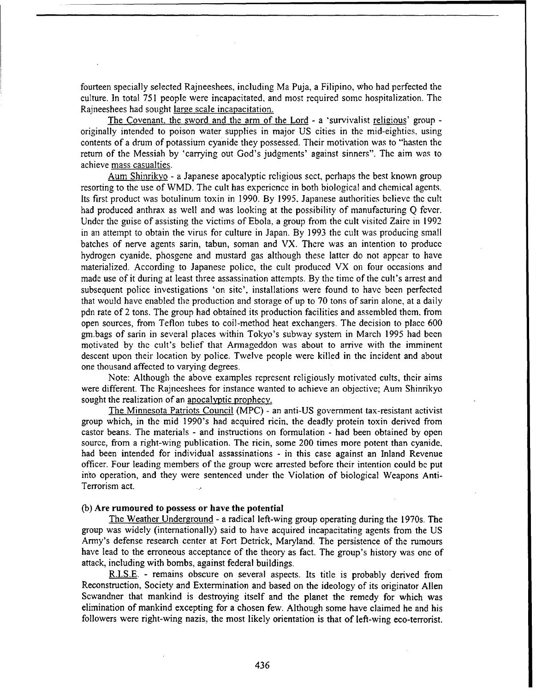fourteen specially selected Rajneeshees, including Ma Puja, a Filipino, who had perfected the culture. In total 751 people were incapacitated, and most required some hospitalization. The Rajneeshees had sought large scale incapacitation.

The Covenant. the sword and the arm of the Lord - a 'survivalist religious' group originally intended to poison water supplies in major US cities in the mid-eighties. using contents of a drum of potassium cyanide they possessed. Their motivation was to "hasten the return of the Messiah by 'carrying out God's judgments' against sinners". The aim was to achieve mass casualties.

Aum Shinrikyo - a Japanese apocalyptic religious sect, perhaps the best known group resorting to the use of WMD. The cult has experience in both biological and chemical agents. Its first product was botulinum toxin in 1990. By 1995, Japanese authorities believe the cult had produced anthrax as well and was looking at the possibility of manufacturing Q fever. Under the guise of assisting the victims of Ebola, a group from the cult visited Zaire in 1992 in an attempt to obtain the virus for culture in Japan. By 1993 the cult was producing small batches of nerve agents sarin, tabun, soman and VX. There was an intention to produce hydrogen cyanide, phosgene and mustard gas although these latter do not appear to have materialized. According to Japanese police, the cult produced VX on four occasions and made use of it during at least three assassination attempts. By the time of the cult's arrest and subsequent police investigations 'on site', installations were found to have been perfected that would have enabled the production and storage of up to 70 tons of sarin alone, at a daily pdn rate of 2 tons. The group had obtained its production facilities and assembled them, from open sources, from Teflon tubes to coil-method heat exchangers. The decision to place 600 gm.bags of sarin in several places within Tokyo's subway system in March 1995 had been motivated by the cult's belief that Armageddon was about to arrive with the imminent descent upon their location by police. Twelve people were killed in the incident and about one thousand affected to varying degrees.

Note: Although the above examples represent religiously motivated cults, their aims were different. The Rajneeshees for instance wanted to achieve an objective; Aum Shinrikyo sought the realization of an apocalyptic prophecy.

The Minnesota Patriots Council (MPC) - an anti-US government tax-resistant activist group which, in the mid 1990's had acquired ricin, the deadly protein toxin derived from castor beans. The materials - and instructions on formulation - had been obtained by open source, from a right-wing publication. The ricin, some 200 times more potent than cyanide, had been intended for individual assassinations - in this case against an Inland Revenue officer. Four leading members of the group were arrested before their intention could **be** put into operation, and they were sentenced under the Violation of biological Weapons Anti-Terrorism act.

# (b) Are rumoured to possess or have the potential

The Weather Underground - a radical left-wing group operating during the 1970s. The group was widely (internationally) said to have acquired incapacitating agents from the US Army's defense research center at Fort Detrick, Maryland. The persistence of the rumours have lead to the erroneous acceptance of the theory as fact. The group's history was one of attack, including with bombs, against federal buildings.

R.I.S.E. - remains obscure on several aspects. Its title is probably derived from Reconstruction, Society and Extermination and based on the ideology of its originator Allen Scwandner that mankind is destroying itself and the planet the remedy for which was elimination of mankind excepting for a chosen few. Although some have claimed he and his followers were right-wing nazis, the most likely orientation is that of left-wing eco-terrorist.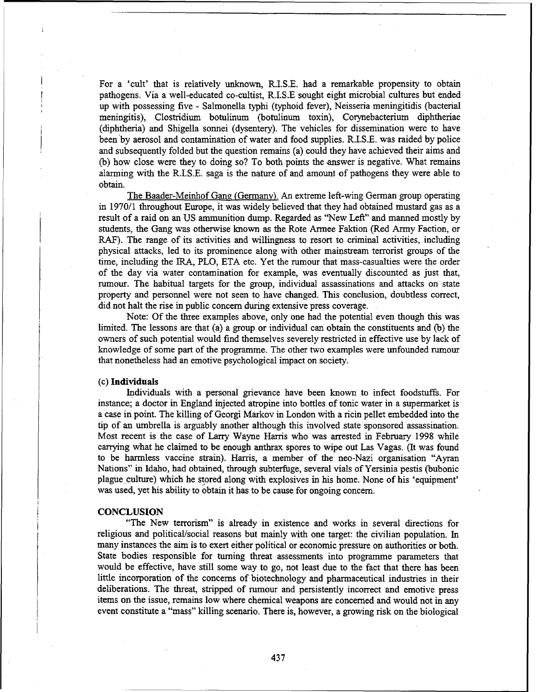For a 'cult' that is relatively unknown, R.I.S.E. had a remarkable propensity to obtain pathogens. Via a well-educated co-cultist, R.I.S.E sought eight microbial cultures but ended up with possessing five - Salmonella typhi (typhoid fever), Neisseria meningitidis (bacterial meningitis), Clostridium botulinum (botulinum toxin), Corynebacterium diphtheriae (diphtheria) and Shigella sonnei (dysentery). The vehicles for dissemination were to have been by aerosol and contamination of water and food supplies. R.I.S.E. was raided by police and subsequently folded but the question remains (a) could they have achieved their aims and (b) how close were they to doing so? To both points the answer is negative. What remains alarming with the R.I.S.E. saga is the nature of and amount of pathogens they were able to obtain.

The Baader-Meinhof Gang (Germany). An extreme left-wing German group operating in 1970/1 throughout Europe, it was widely believed that they had obtained mustard gas as a result of a raid on an US ammunition dump. Regarded as "New Left" and manned mostly by students, the Gang was otherwise known as the Rote Armee Faktion (Red Army Faction, or RAF). The range of its activities and willingness to resort to criminal activities, including physical attacks, led to its prominence along with other mainstream terrorist groups of the time, including the IRA, PLO, ETA etc. Yet the rumour that mass-casualties were the order of the day via water contamination for example, was eventually discounted as just that, rumour. The habitual targets for the group, individual assassinations and attacks on state property and personnel were not seen to have changed. This conclusion, doubtless correct, did not halt the rise in public concern during extensive press coverage.

Note: Of the three examples above, only one had the potential even though this was limited. The lessons are that (a) a group or individual can obtain the constituents and (b) the owners of such potential would find themselves severely restricted in effective use by lack of knowledge of some part of the programme. The other two examples were unfounded rumour that nonetheless had an emotive psychological impact on society.

#### (c) Individuals

Individuals with a personal grievance have been known to infect foodstuffs. For instance; a doctor in England injected atropine into bottles of tonic water in a supermarket is a case in point. The killing of Georgi Markov in London with a ricin pellet embedded into the tip of an umbrella is arguably another although this involved state sponsored assassination. Most recent is the case of Larry Wayne Harris who was arrested in February 1998 while carrying what he claimed to be enough anthrax spores to wipe out Las Vagas. (It was found to be harmless vaccine strain). Harris, a member of the neo-Nazi organisation "Ayran Nations" in Idaho, had obtained, through subterfuge, several vials of Yersinia pestis (bubonic plague culture) which he stored along with explosives in his home. None of his 'equipment' was used, yet his ability to obtain it has to be cause for ongoing concern.

#### **CONCLUSION**

"The New terrorism" is already in existence and works in several directions for religious and political/social reasons but mainly with one target: the civilian population. In many instances the aim is to exert either political or economic pressure on authorities or both. State bodies responsible for turning threat assessments into programme parameters that would be effective, have still some way to go, not least due to the fact that there has been little incorporation of the concerns of biotechnology and pharmaceutical industries in their deliberations. The threat, stripped of rumour and persistently incorrect and emotive press items on the issue, remains low where chemical weapons are concerned and would not in any event constitute a "mass" killing scenario. There is, however, a growing risk on the biological